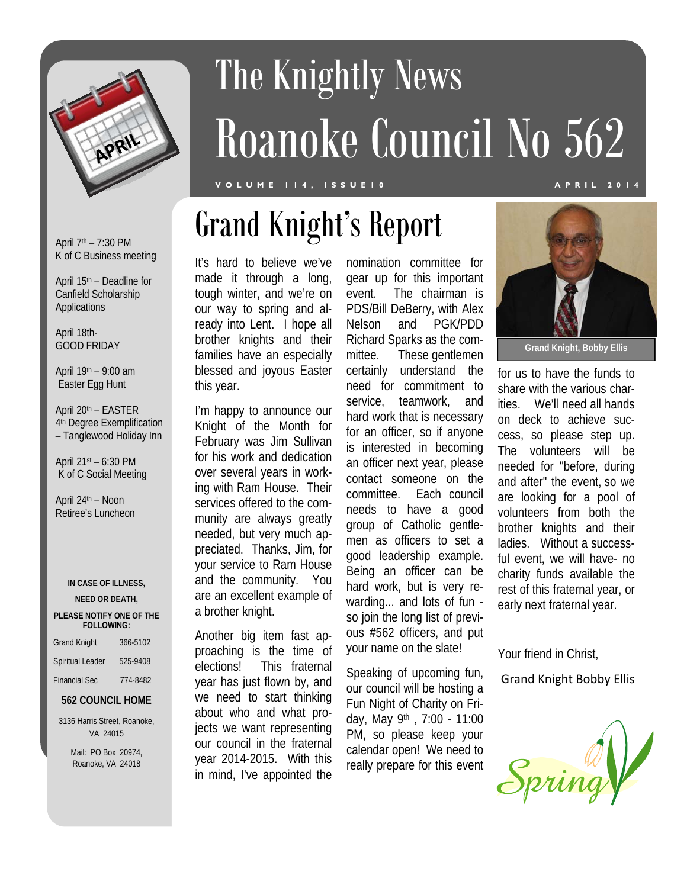

# The Knightly News Roanoke Council No 562

### **VOLUME 114, ISSUE10 APRIL 2014**

April  $7<sup>th</sup> - 7:30$  PM K of C Business meeting

April 15th – Deadline for Canfield Scholarship Applications

April 18th-GOOD FRIDAY

April 19th – 9:00 am Easter Egg Hunt

April 20th – EASTER 4<sup>th</sup> Degree Exemplification – Tanglewood Holiday Inn

April 21st – 6:30 PM K of C Social Meeting

April 24th – Noon Retiree's Luncheon

#### **IN CASE OF ILLNESS,**

#### **NEED OR DEATH,**

#### **PLEASE NOTIFY ONE OF THE FOLLOWING:**

| <b>Grand Knight</b>  | 366-5102 |
|----------------------|----------|
| Spiritual Leader     | 525-9408 |
| <b>Financial Sec</b> | 774-8482 |

### **562 COUNCIL HOME**

3136 Harris Street, Roanoke, VA 24015

> Mail: PO Box 20974, Roanoke, VA 24018

It's hard to believe we've made it through a long, tough winter, and we're on our way to spring and already into Lent. I hope all brother knights and their families have an especially blessed and joyous Easter this year.

I'm happy to announce our Knight of the Month for February was Jim Sullivan for his work and dedication over several years in working with Ram House. Their services offered to the community are always greatly needed, but very much appreciated. Thanks, Jim, for your service to Ram House and the community. You are an excellent example of a brother knight.

Another big item fast approaching is the time of elections! This fraternal year has just flown by, and we need to start thinking about who and what projects we want representing our council in the fraternal year 2014-2015. With this in mind, I've appointed the

nomination committee for gear up for this important event. The chairman is PDS/Bill DeBerry, with Alex Nelson and PGK/PDD Richard Sparks as the committee. These gentlemen certainly understand the need for commitment to service, teamwork, and hard work that is necessary for an officer, so if anyone is interested in becoming an officer next year, please contact someone on the committee. Each council needs to have a good group of Catholic gentlemen as officers to set a good leadership example. Being an officer can be hard work, but is very rewarding... and lots of fun so join the long list of previous #562 officers, and put your name on the slate!

Speaking of upcoming fun, our council will be hosting a Fun Night of Charity on Friday, May 9th , 7:00 - 11:00 PM, so please keep your calendar open! We need to really prepare for this event



**Grand Knight, Bobby Ellis** 

for us to have the funds to share with the various charities. We'll need all hands on deck to achieve success, so please step up. The volunteers will be needed for "before, during and after" the event, so we are looking for a pool of volunteers from both the brother knights and their ladies. Without a successful event, we will have- no charity funds available the rest of this fraternal year, or early next fraternal year.

Your friend in Christ,

Grand Knight Bobby Ellis

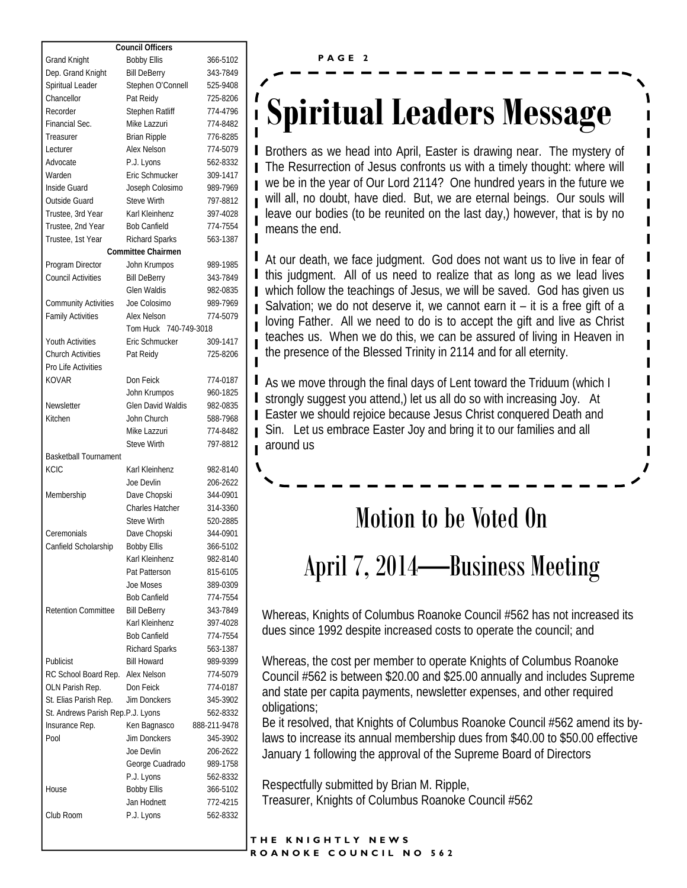| <b>Council Officers</b>           |                              |                      |
|-----------------------------------|------------------------------|----------------------|
| <b>Grand Knight</b>               | <b>Bobby Ellis</b>           | 366-5102             |
| Dep. Grand Knight                 | <b>Bill DeBerry</b>          | 343-7849             |
| Spiritual Leader                  | Stephen O'Connell            | 525-9408             |
| Chancellor                        | Pat Reidy                    | 725-8206             |
| Recorder                          | Stephen Ratliff              | 774-4796             |
| Financial Sec.                    | Mike Lazzuri                 | 774-8482             |
| Treasurer                         | <b>Brian Ripple</b>          | 776-8285             |
| Lecturer                          | <b>Alex Nelson</b>           | 774-5079             |
|                                   |                              |                      |
| Advocate                          | P.J. Lyons<br>Eric Schmucker | 562-8332<br>309-1417 |
| Warden                            |                              |                      |
| Inside Guard                      | Joseph Colosimo              | 989-7969             |
| Outside Guard                     | <b>Steve Wirth</b>           | 797-8812             |
| Trustee, 3rd Year                 | Karl Kleinhenz               | 397-4028             |
| Trustee, 2nd Year                 | <b>Bob Canfield</b>          | 774-7554             |
| Trustee, 1st Year                 | <b>Richard Sparks</b>        | 563-1387             |
|                                   | <b>Committee Chairmen</b>    |                      |
| Program Director                  | John Krumpos                 | 989-1985             |
| <b>Council Activities</b>         | <b>Bill DeBerry</b>          | 343-7849             |
|                                   | <b>Glen Waldis</b>           | 982-0835             |
| <b>Community Activities</b>       | Joe Colosimo                 | 989-7969             |
| <b>Family Activities</b>          | <b>Alex Nelson</b>           | 774-5079             |
|                                   | Tom Huck 740-749-3018        |                      |
| <b>Youth Activities</b>           | Eric Schmucker               | 309-1417             |
| <b>Church Activities</b>          | Pat Reidy                    | 725-8206             |
| Pro Life Activities               |                              |                      |
| <b>KOVAR</b>                      | Don Feick                    | 774-0187             |
|                                   | John Krumpos                 | 960-1825             |
| Newsletter                        | <b>Glen David Waldis</b>     | 982-0835             |
| Kitchen                           | John Church                  | 588-7968             |
|                                   | Mike Lazzuri                 | 774-8482             |
|                                   | <b>Steve Wirth</b>           | 797-8812             |
| <b>Basketball Tournament</b>      |                              |                      |
| <b>KCIC</b>                       | Karl Kleinhenz               | 982-8140             |
|                                   | Joe Devlin                   | 206-2622             |
|                                   |                              | 344-0901             |
| Membership                        | Dave Chopski                 |                      |
|                                   | <b>Charles Hatcher</b>       | 314-3360             |
|                                   | <b>Steve Wirth</b>           | 520-2885             |
| Ceremonials                       | Dave Chopski                 | 344-0901             |
| Canfield Scholarship              | <b>Bobby Ellis</b>           | 366-5102             |
|                                   | Karl Kleinhenz               | 982-8140             |
|                                   | Pat Patterson                | 815-6105             |
|                                   | Joe Moses                    | 389-0309             |
|                                   | <b>Bob Canfield</b>          | 774-7554             |
| <b>Retention Committee</b>        | <b>Bill DeBerry</b>          | 343-7849             |
|                                   | Karl Kleinhenz               | 397-4028             |
|                                   | <b>Bob Canfield</b>          | 774-7554             |
|                                   | <b>Richard Sparks</b>        | 563-1387             |
| Publicist                         | <b>Bill Howard</b>           | 989-9399             |
| RC School Board Rep.              | Alex Nelson                  | 774-5079             |
| OLN Parish Rep.                   | Don Feick                    | 774-0187             |
| St. Elias Parish Rep.             | Jim Donckers                 | 345-3902             |
| St. Andrews Parish Rep.P.J. Lyons |                              | 562-8332             |
| Insurance Rep.                    | Ken Bagnasco                 | 888-211-9478         |
| Pool                              | Jim Donckers                 | 345-3902             |
|                                   | Joe Devlin                   | 206-2622             |
|                                   | George Cuadrado              | 989-1758             |
|                                   | P.J. Lyons                   | 562-8332             |
| House                             |                              | 366-5102             |
|                                   | <b>Bobby Ellis</b>           |                      |
|                                   | Jan Hodnett                  | 772-4215             |
| Club Room                         | P.J. Lyons                   | 562-8332             |

## **Spiritual Leaders Message**

Brothers as we head into April, Easter is drawing near. The mystery of The Resurrection of Jesus confronts us with a timely thought: where will we be in the year of Our Lord 2114? One hundred years in the future we will all, no doubt, have died. But, we are eternal beings. Our souls will leave our bodies (to be reunited on the last day,) however, that is by no means the end.

At our death, we face judgment. God does not want us to live in fear of I this judgment. All of us need to realize that as long as we lead lives which follow the teachings of Jesus, we will be saved. God has given us Salvation; we do not deserve it, we cannot earn it  $-$  it is a free gift of a loving Father. All we need to do is to accept the gift and live as Christ teaches us. When we do this, we can be assured of living in Heaven in the presence of the Blessed Trinity in 2114 and for all eternity.

As we move through the final days of Lent toward the Triduum (which I strongly suggest you attend,) let us all do so with increasing Joy. At Easter we should rejoice because Jesus Christ conquered Death and Sin. Let us embrace Easter Joy and bring it to our families and all around us

### Motion to be Voted On

### April 7, 2014—Business Meeting

Whereas, Knights of Columbus Roanoke Council #562 has not increased its dues since 1992 despite increased costs to operate the council; and

Whereas, the cost per member to operate Knights of Columbus Roanoke Council #562 is between \$20.00 and \$25.00 annually and includes Supreme and state per capita payments, newsletter expenses, and other required obligations;

Be it resolved, that Knights of Columbus Roanoke Council #562 amend its bylaws to increase its annual membership dues from \$40.00 to \$50.00 effective January 1 following the approval of the Supreme Board of Directors

Respectfully submitted by Brian M. Ripple, Treasurer, Knights of Columbus Roanoke Council #562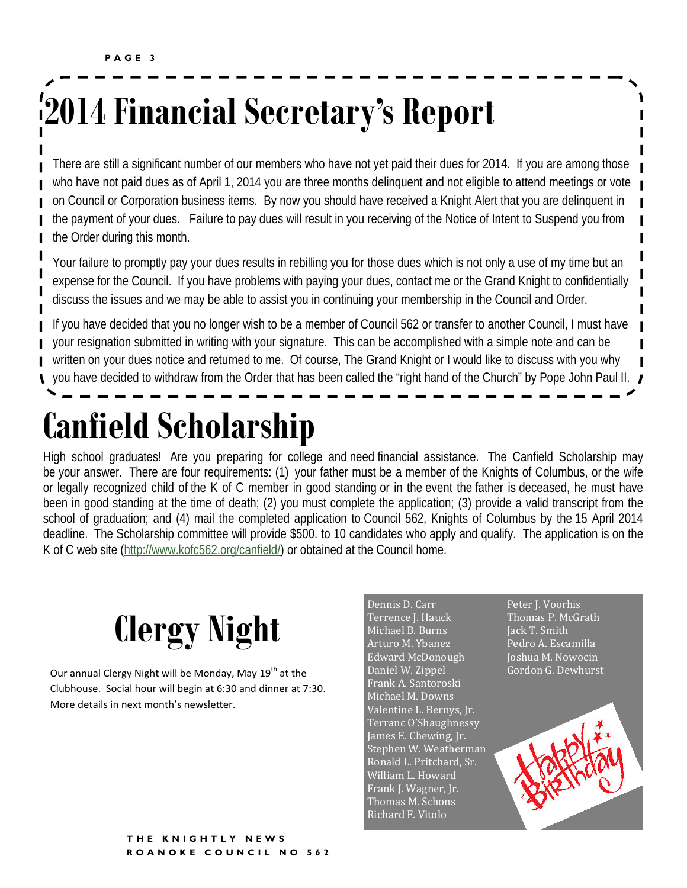## **2014 Financial Secretary's Report**

There are still a significant number of our members who have not yet paid their dues for 2014. If you are among those who have not paid dues as of April 1, 2014 you are three months delinquent and not eligible to attend meetings or vote on Council or Corporation business items. By now you should have received a Knight Alert that you are delinquent in the payment of your dues. Failure to pay dues will result in you receiving of the Notice of Intent to Suspend you from the Order during this month.

Your failure to promptly pay your dues results in rebilling you for those dues which is not only a use of my time but an expense for the Council. If you have problems with paying your dues, contact me or the Grand Knight to confidentially discuss the issues and we may be able to assist you in continuing your membership in the Council and Order.

If you have decided that you no longer wish to be a member of Council 562 or transfer to another Council, I must have your resignation submitted in writing with your signature. This can be accomplished with a simple note and can be written on your dues notice and returned to me. Of course, The Grand Knight or I would like to discuss with you why you have decided to withdraw from the Order that has been called the "right hand of the Church" by Pope John Paul II.

## **Canfield Scholarship**

High school graduates! Are you preparing for college and need financial assistance. The Canfield Scholarship may be your answer. There are four requirements: (1) your father must be a member of the Knights of Columbus, or the wife or legally recognized child of the K of C member in good standing or in the event the father is deceased, he must have been in good standing at the time of death; (2) you must complete the application; (3) provide a valid transcript from the school of graduation; and (4) mail the completed application to Council 562, Knights of Columbus by the 15 April 2014 deadline. The Scholarship committee will provide \$500. to 10 candidates who apply and qualify. The application is on the K of C web site (http://www.kofc562.org/canfield/) or obtained at the Council home.



Our annual Clergy Night will be Monday, May 19<sup>th</sup> at the Clubhouse. Social hour will begin at 6:30 and dinner at 7:30. More details in next month's newsletter.

Dennis D. Carr Terrence J. Hauck Michael B. Burns Arturo M. Ybanez Edward McDonough Daniel W. Zippel Frank A. Santoroski Michael M. Downs Valentine L. Bernys, Jr. Terranc O'Shaughnessy James E. Chewing, Jr. Stephen W. Weatherman Ronald L. Pritchard, Sr. William L. Howard Frank J. Wagner, Jr. Thomas M. Schons Richard F. Vitolo

Peter J. Voorhis Thomas P. McGrath Jack T. Smith Pedro A. Escamilla Joshua M. Nowocin Gordon G. Dewhurst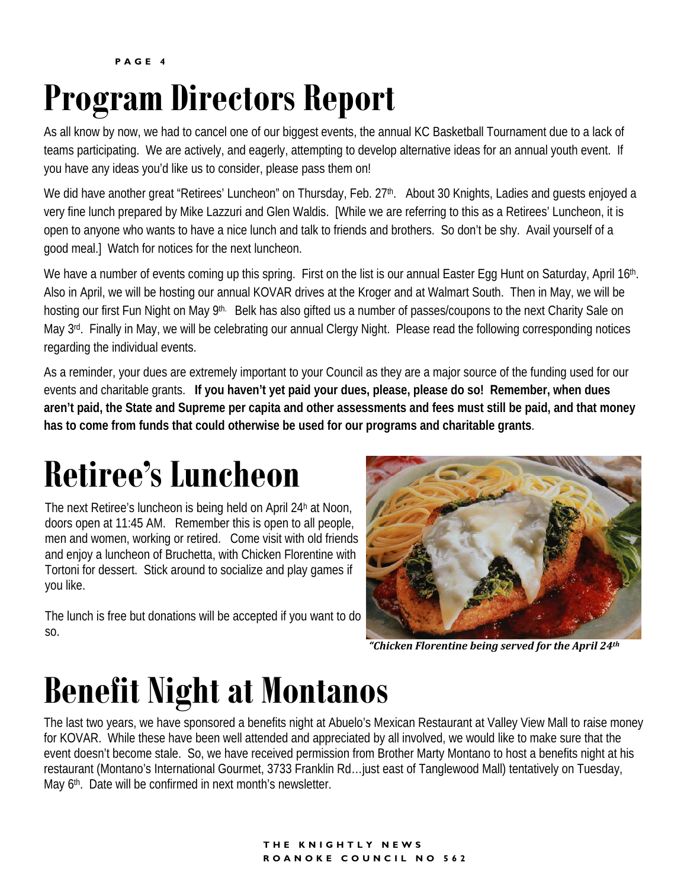**PAGE 4**

## **Program Directors Report**

As all know by now, we had to cancel one of our biggest events, the annual KC Basketball Tournament due to a lack of teams participating. We are actively, and eagerly, attempting to develop alternative ideas for an annual youth event. If you have any ideas you'd like us to consider, please pass them on!

We did have another great "Retirees' Luncheon" on Thursday, Feb. 27<sup>th</sup>. About 30 Knights, Ladies and guests enjoyed a very fine lunch prepared by Mike Lazzuri and Glen Waldis. [While we are referring to this as a Retirees' Luncheon, it is open to anyone who wants to have a nice lunch and talk to friends and brothers. So don't be shy. Avail yourself of a good meal.] Watch for notices for the next luncheon.

We have a number of events coming up this spring. First on the list is our annual Easter Egg Hunt on Saturday, April 16th. Also in April, we will be hosting our annual KOVAR drives at the Kroger and at Walmart South. Then in May, we will be hosting our first Fun Night on May 9<sup>th.</sup> Belk has also gifted us a number of passes/coupons to the next Charity Sale on May 3<sup>rd</sup>. Finally in May, we will be celebrating our annual Clergy Night. Please read the following corresponding notices regarding the individual events.

As a reminder, your dues are extremely important to your Council as they are a major source of the funding used for our events and charitable grants. **If you haven't yet paid your dues, please, please do so! Remember, when dues aren't paid, the State and Supreme per capita and other assessments and fees must still be paid, and that money has to come from funds that could otherwise be used for our programs and charitable grants**.

## **Retiree's Luncheon**

The next Retiree's luncheon is being held on April 24h at Noon, doors open at 11:45 AM. Remember this is open to all people, men and women, working or retired. Come visit with old friends and enjoy a luncheon of Bruchetta, with Chicken Florentine with Tortoni for dessert. Stick around to socialize and play games if you like.

The lunch is free but donations will be accepted if you want to do so.



*"Chicken Florentine being served for the April 24th*

### **Benefit Night at Montanos**

The last two years, we have sponsored a benefits night at Abuelo's Mexican Restaurant at Valley View Mall to raise money for KOVAR. While these have been well attended and appreciated by all involved, we would like to make sure that the event doesn't become stale. So, we have received permission from Brother Marty Montano to host a benefits night at his restaurant (Montano's International Gourmet, 3733 Franklin Rd…just east of Tanglewood Mall) tentatively on Tuesday, May 6<sup>th</sup>. Date will be confirmed in next month's newsletter.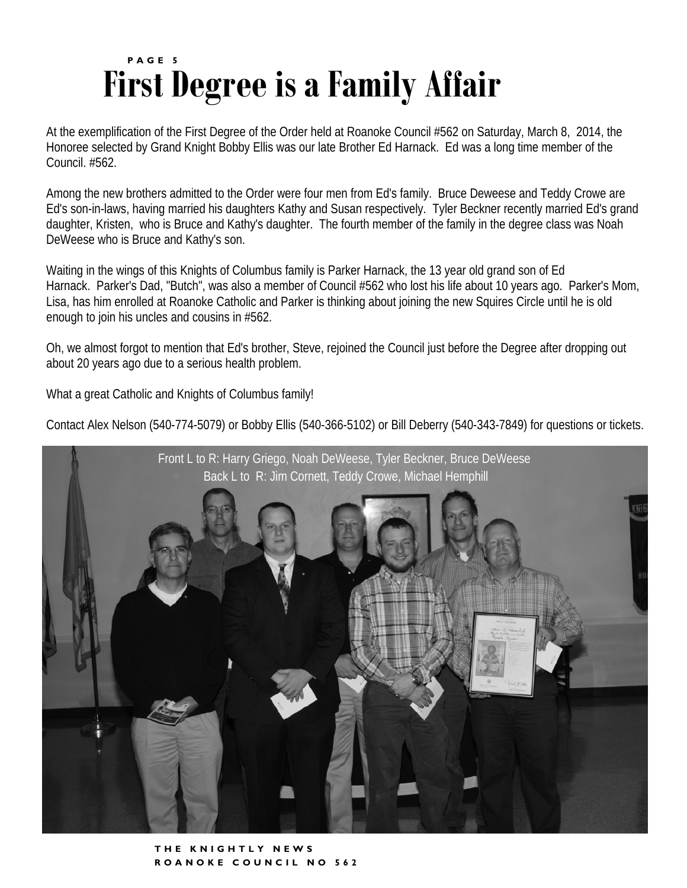### **First Degree is a Family Affair PAGE 5**

At the exemplification of the First Degree of the Order held at Roanoke Council #562 on Saturday, March 8, 2014, the Honoree selected by Grand Knight Bobby Ellis was our late Brother Ed Harnack. Ed was a long time member of the Council. #562.

Among the new brothers admitted to the Order were four men from Ed's family. Bruce Deweese and Teddy Crowe are Ed's son-in-laws, having married his daughters Kathy and Susan respectively. Tyler Beckner recently married Ed's grand daughter, Kristen, who is Bruce and Kathy's daughter. The fourth member of the family in the degree class was Noah DeWeese who is Bruce and Kathy's son.

Waiting in the wings of this Knights of Columbus family is Parker Harnack, the 13 year old grand son of Ed Harnack. Parker's Dad, "Butch", was also a member of Council #562 who lost his life about 10 years ago. Parker's Mom, Lisa, has him enrolled at Roanoke Catholic and Parker is thinking about joining the new Squires Circle until he is old enough to join his uncles and cousins in #562.

Oh, we almost forgot to mention that Ed's brother, Steve, rejoined the Council just before the Degree after dropping out about 20 years ago due to a serious health problem.

What a great Catholic and Knights of Columbus family!

Contact Alex Nelson (540-774-5079) or Bobby Ellis (540-366-5102) or Bill Deberry (540-343-7849) for questions or tickets.



**THE KNIGHTLY NEWS ROANOKE COUNCIL NO 562**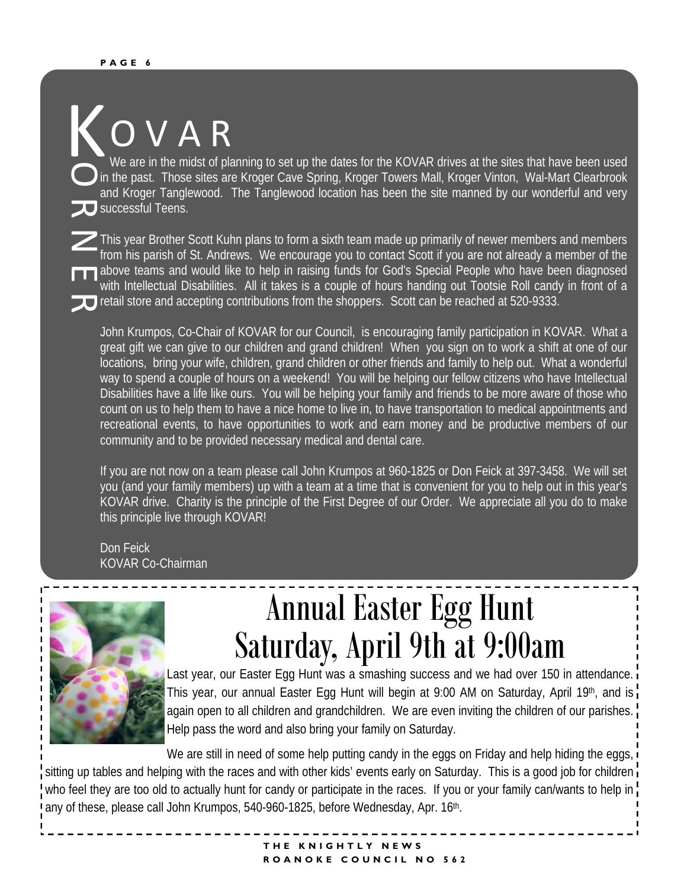### O V A R K

O **D** successful Teens. We are in the midst of planning to set up the dates for the KOVAR drives at the sites that have been used in the past. Those sites are Kroger Cave Spring, Kroger Towers Mall, Kroger Vinton, Wal-Mart Clearbrook and Kroger Tanglewood. The Tanglewood location has been the site manned by our wonderful and very

 $\overline{\mathscr{L}}$  $\overline{\mathbf{H}}$ retail store and accepting contributions from the shoppers. Scott can be reached at 520-9333. This year Brother Scott Kuhn plans to form a sixth team made up primarily of newer members and members from his parish of St. Andrews. We encourage you to contact Scott if you are not already a member of the above teams and would like to help in raising funds for God's Special People who have been diagnosed with Intellectual Disabilities. All it takes is a couple of hours handing out Tootsie Roll candy in front of a

John Krumpos, Co-Chair of KOVAR for our Council, is encouraging family participation in KOVAR. What a great gift we can give to our children and grand children! When you sign on to work a shift at one of our locations, bring your wife, children, grand children or other friends and family to help out. What a wonderful way to spend a couple of hours on a weekend! You will be helping our fellow citizens who have Intellectual Disabilities have a life like ours. You will be helping your family and friends to be more aware of those who count on us to help them to have a nice home to live in, to have transportation to medical appointments and recreational events, to have opportunities to work and earn money and be productive members of our community and to be provided necessary medical and dental care.

If you are not now on a team please call John Krumpos at 960-1825 or Don Feick at 397-3458. We will set you (and your family members) up with a team at a time that is convenient for you to help out in this year's KOVAR drive. Charity is the principle of the First Degree of our Order. We appreciate all you do to make this principle live through KOVAR!

Don Feick KOVAR Co-Chairman



п  $\blacksquare$ 

### Annual Easter Egg Hunt Saturday, April 9th at 9:00am

Last year, our Easter Egg Hunt was a smashing success and we had over 150 in attendance. This year, our annual Easter Egg Hunt will begin at 9:00 AM on Saturday, April 19th, and is again open to all children and grandchildren. We are even inviting the children of our parishes. Help pass the word and also bring your family on Saturday.

We are still in need of some help putting candy in the eggs on Friday and help hiding the eggs, sitting up tables and helping with the races and with other kids' events early on Saturday. This is a good job for children who feel they are too old to actually hunt for candy or participate in the races. If you or your family can/wants to help in any of these, please call John Krumpos, 540-960-1825, before Wednesday, Apr. 16<sup>th</sup>.

#### **THE KNIGHTLY NEWS ROANOKE COUNCIL NO 562**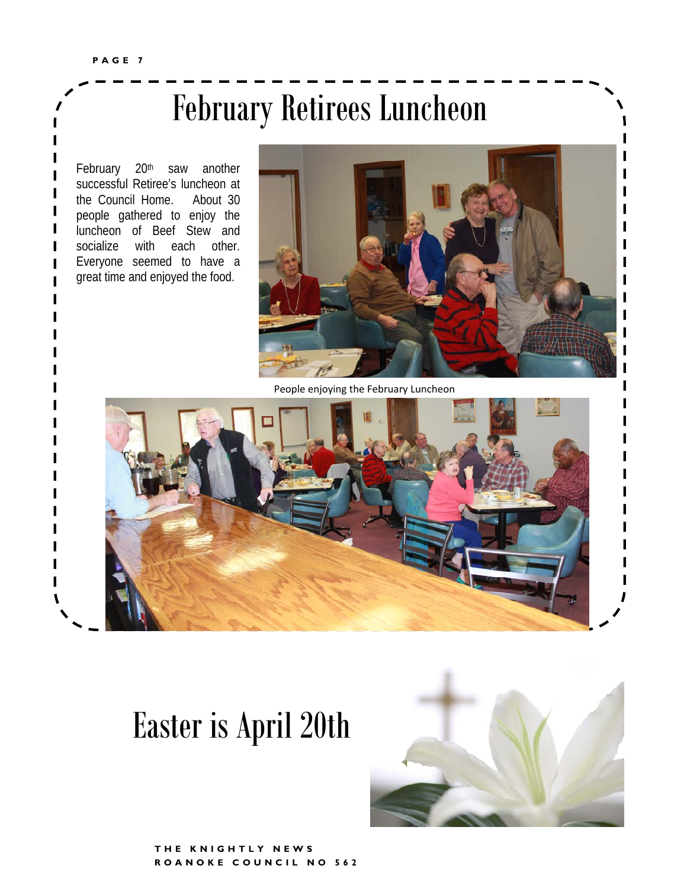### February Retirees Luncheon

February 20<sup>th</sup> saw another successful Retiree's luncheon at the Council Home. About 30 people gathered to enjoy the luncheon of Beef Stew and socialize with each other. Everyone seemed to have a great time and enjoyed the food.



People enjoying the February Luncheon



### Easter is April 20th

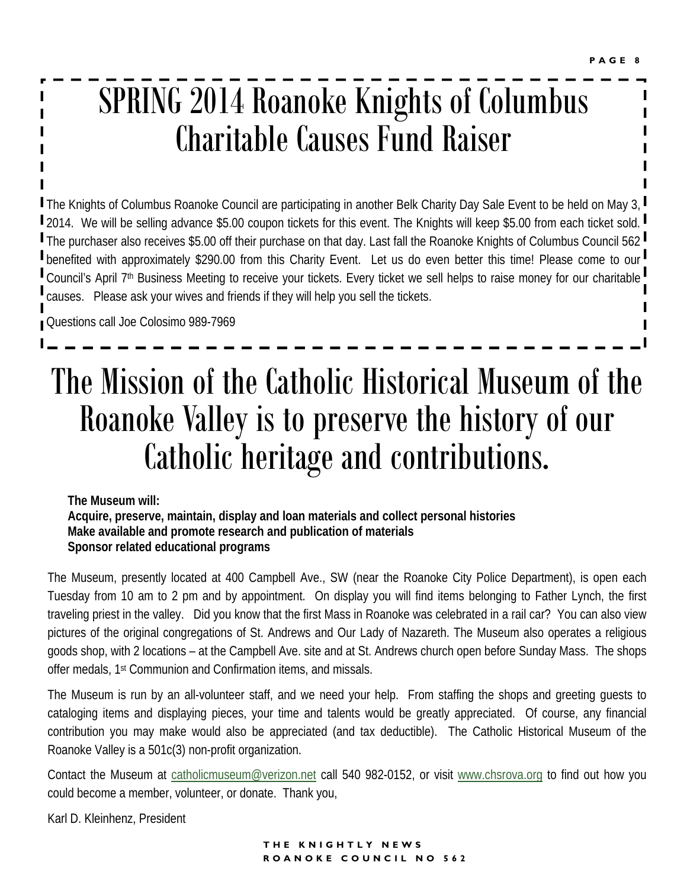### SPRING 2014 Roanoke Knights of Columbus Charitable Causes Fund Raiser

The Knights of Columbus Roanoke Council are participating in another Belk Charity Day Sale Event to be held on May 3, 2014. We will be selling advance \$5.00 coupon tickets for this event. The Knights will keep \$5.00 from each ticket sold. The purchaser also receives \$5.00 off their purchase on that day. Last fall the Roanoke Knights of Columbus Council 562 **I** benefited with approximately \$290.00 from this Charity Event. Let us do even better this time! Please come to our Council's April 7<sup>th</sup> Business Meeting to receive your tickets. Every ticket we sell helps to raise money for our charitable causes. Please ask your wives and friends if they will help you sell the tickets.

Questions call Joe Colosimo 989-7969

### The Mission of the Catholic Historical Museum of the Roanoke Valley is to preserve the history of our Catholic heritage and contributions.

**The Museum will: Acquire, preserve, maintain, display and loan materials and collect personal histories Make available and promote research and publication of materials Sponsor related educational programs** 

The Museum, presently located at 400 Campbell Ave., SW (near the Roanoke City Police Department), is open each Tuesday from 10 am to 2 pm and by appointment. On display you will find items belonging to Father Lynch, the first traveling priest in the valley. Did you know that the first Mass in Roanoke was celebrated in a rail car? You can also view pictures of the original congregations of St. Andrews and Our Lady of Nazareth. The Museum also operates a religious goods shop, with 2 locations – at the Campbell Ave. site and at St. Andrews church open before Sunday Mass. The shops offer medals, 1st Communion and Confirmation items, and missals.

The Museum is run by an all-volunteer staff, and we need your help. From staffing the shops and greeting guests to cataloging items and displaying pieces, your time and talents would be greatly appreciated. Of course, any financial contribution you may make would also be appreciated (and tax deductible). The Catholic Historical Museum of the Roanoke Valley is a 501c(3) non-profit organization.

Contact the Museum at catholicmuseum@verizon.net call 540 982-0152, or visit www.chsrova.org to find out how you could become a member, volunteer, or donate. Thank you,

Karl D. Kleinhenz, President

### **THE KNIGHTLY NEWS ROANOKE COUNCIL NO 562**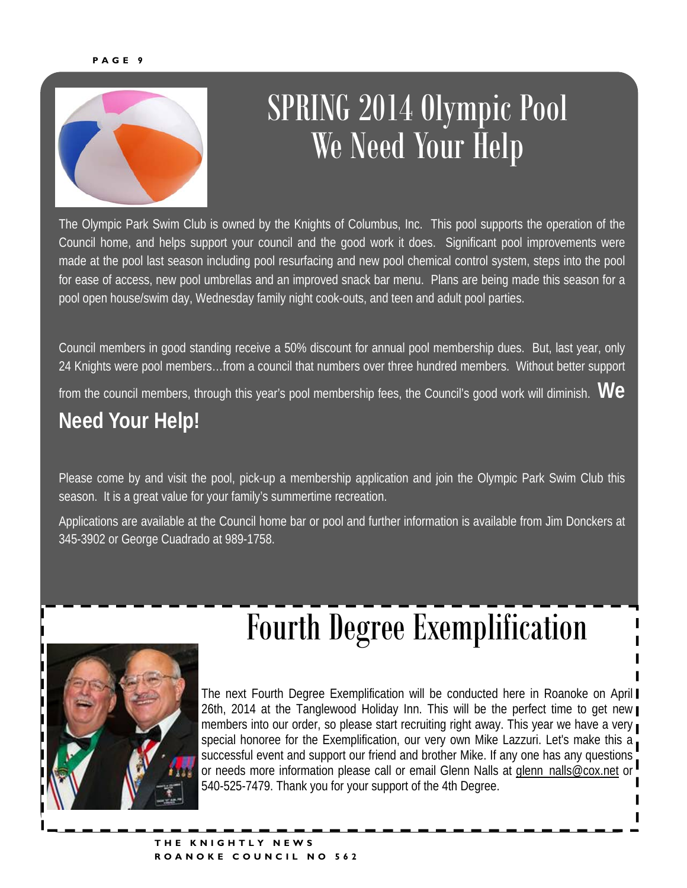

### SPRING 2014 Olympic Pool We Need Your Help

The Olympic Park Swim Club is owned by the Knights of Columbus, Inc. This pool supports the operation of the Council home, and helps support your council and the good work it does. Significant pool improvements were made at the pool last season including pool resurfacing and new pool chemical control system, steps into the pool for ease of access, new pool umbrellas and an improved snack bar menu. Plans are being made this season for a pool open house/swim day, Wednesday family night cook-outs, and teen and adult pool parties.

Council members in good standing receive a 50% discount for annual pool membership dues. But, last year, only 24 Knights were pool members...from a council that numbers over three hundred members. Without better support from the council members, through this year's pool membership fees, the Council's good work will diminish. **We** 

### **Need Your Help!**

Please come by and visit the pool, pick-up a membership application and join the Olympic Park Swim Club this season. It is a great value for your family's summertime recreation.

Applications are available at the Council home bar or pool and further information is available from Jim Donckers at 345-3902 or George Cuadrado at 989-1758.



## Fourth Degree Exemplification

The next Fourth Degree Exemplification will be conducted here in Roanoke on April 26th, 2014 at the Tanglewood Holiday Inn. This will be the perfect time to get new members into our order, so please start recruiting right away. This year we have a very special honoree for the Exemplification, our very own Mike Lazzuri. Let's make this a successful event and support our friend and brother Mike. If any one has any questions or needs more information please call or email Glenn Nalls at **glenn\_nalls@cox.net** or 540-525-7479. Thank you for your support of the 4th Degree.